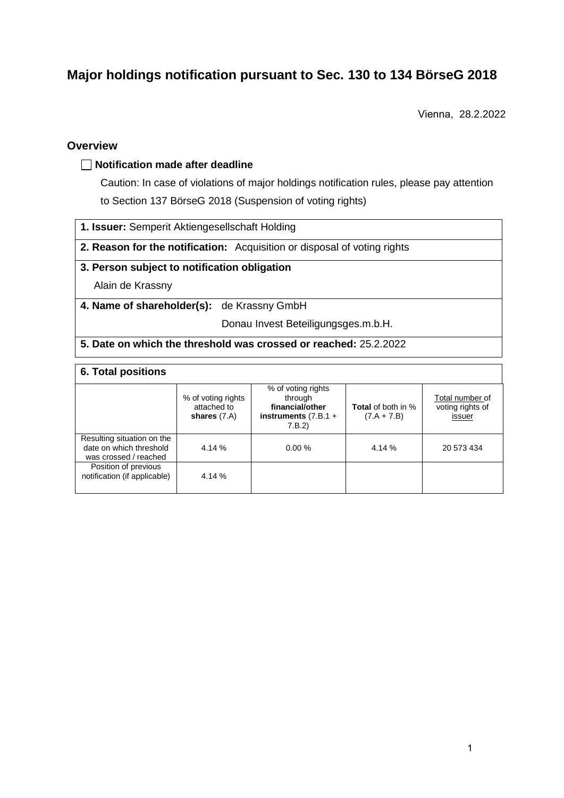# **Major holdings notification pursuant to Sec. 130 to 134 BörseG 2018**

Vienna, 28.2.2022

## **Overview**

#### **Notification made after deadline**

Caution: In case of violations of major holdings notification rules, please pay attention to Section 137 BörseG 2018 (Suspension of voting rights)

- **1. Issuer:** Semperit Aktiengesellschaft Holding
- **2. Reason for the notification:** Acquisition or disposal of voting rights

### **3. Person subject to notification obligation**

Alain de Krassny

**4. Name of shareholder(s):** de Krassny GmbH

Donau Invest Beteiligungsges.m.b.H.

#### **5. Date on which the threshold was crossed or reached:** 25.2.2022

| <b>6. Total positions</b>                                                      |                                                     |                                                                                      |                                            |                                               |  |  |
|--------------------------------------------------------------------------------|-----------------------------------------------------|--------------------------------------------------------------------------------------|--------------------------------------------|-----------------------------------------------|--|--|
|                                                                                | % of voting rights<br>attached to<br>shares $(7.A)$ | % of voting rights<br>through<br>financial/other<br>instruments $(7.B.1 +$<br>7.B.2) | <b>Total</b> of both in %<br>$(7.A + 7.B)$ | Total number of<br>voting rights of<br>issuer |  |  |
| Resulting situation on the<br>date on which threshold<br>was crossed / reached | 4.14 %                                              | 0.00%                                                                                | 4.14 %                                     | 20 573 434                                    |  |  |
| Position of previous<br>notification (if applicable)                           | 4.14 %                                              |                                                                                      |                                            |                                               |  |  |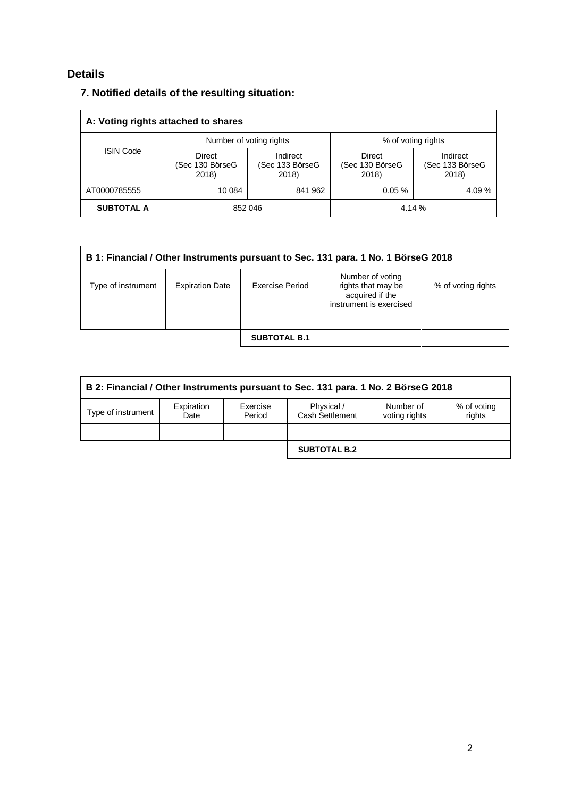## **Details**

| A: Voting rights attached to shares |                                    |                                      |                                           |                                      |  |
|-------------------------------------|------------------------------------|--------------------------------------|-------------------------------------------|--------------------------------------|--|
| <b>ISIN Code</b>                    | Number of voting rights            |                                      | % of voting rights                        |                                      |  |
|                                     | Direct<br>(Sec 130 BörseG<br>2018) | Indirect<br>(Sec 133 BörseG<br>2018) | <b>Direct</b><br>(Sec 130 BörseG<br>2018) | Indirect<br>(Sec 133 BörseG<br>2018) |  |
| AT0000785555                        | 10 084                             | 841 962                              | 0.05%                                     | 4.09%                                |  |
| <b>SUBTOTAL A</b>                   | 852 046                            |                                      | 4.14 %                                    |                                      |  |

| B 1: Financial / Other Instruments pursuant to Sec. 131 para. 1 No. 1 BörseG 2018 |                        |                     |                                                                                      |                    |  |
|-----------------------------------------------------------------------------------|------------------------|---------------------|--------------------------------------------------------------------------------------|--------------------|--|
| Type of instrument                                                                | <b>Expiration Date</b> | Exercise Period     | Number of voting<br>rights that may be<br>acquired if the<br>instrument is exercised | % of voting rights |  |
|                                                                                   |                        |                     |                                                                                      |                    |  |
|                                                                                   |                        | <b>SUBTOTAL B.1</b> |                                                                                      |                    |  |

| B 2: Financial / Other Instruments pursuant to Sec. 131 para. 1 No. 2 BörseG 2018 |                    |                    |                               |                            |                       |
|-----------------------------------------------------------------------------------|--------------------|--------------------|-------------------------------|----------------------------|-----------------------|
| Type of instrument                                                                | Expiration<br>Date | Exercise<br>Period | Physical /<br>Cash Settlement | Number of<br>voting rights | % of voting<br>rights |
|                                                                                   |                    |                    |                               |                            |                       |
|                                                                                   |                    |                    | <b>SUBTOTAL B.2</b>           |                            |                       |